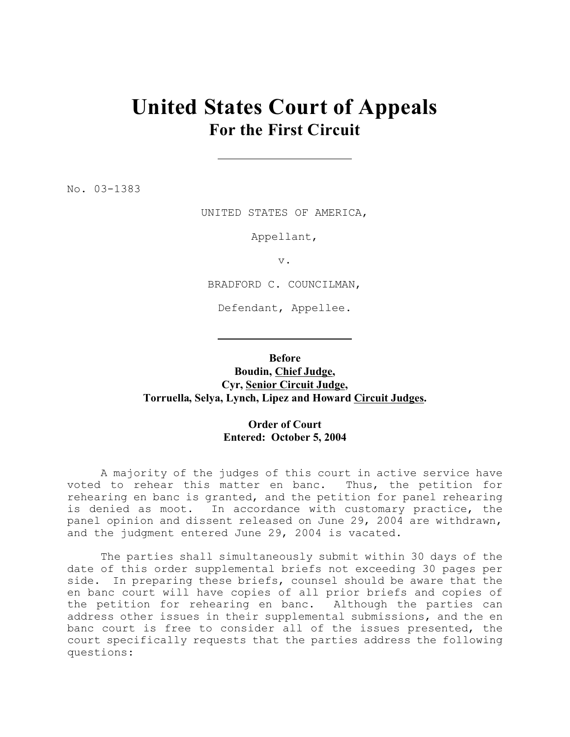## **United States Court of Appeals For the First Circuit**

No. 03-1383

UNITED STATES OF AMERICA,

Appellant,

v.

BRADFORD C. COUNCILMAN,

Defendant, Appellee.

**Before**

**Boudin, Chief Judge, Cyr, Senior Circuit Judge, Torruella, Selya, Lynch, Lipez and Howard Circuit Judges.**

## **Order of Court Entered: October 5, 2004**

A majority of the judges of this court in active service have voted to rehear this matter en banc. Thus, the petition for rehearing en banc is granted, and the petition for panel rehearing is denied as moot. In accordance with customary practice, the panel opinion and dissent released on June 29, 2004 are withdrawn, and the judgment entered June 29, 2004 is vacated.

The parties shall simultaneously submit within 30 days of the date of this order supplemental briefs not exceeding 30 pages per side. In preparing these briefs, counsel should be aware that the en banc court will have copies of all prior briefs and copies of the petition for rehearing en banc. Although the parties can address other issues in their supplemental submissions, and the en banc court is free to consider all of the issues presented, the court specifically requests that the parties address the following questions: